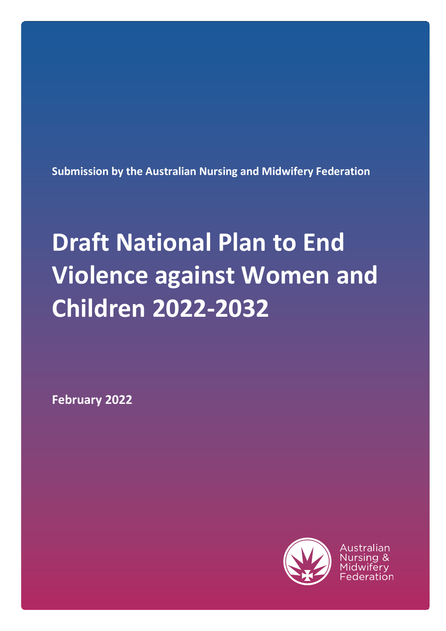**Submission by the Australian Nursing and Midwifery Federation**

# **Draft National Plan to End Violence against Women and Children 2022-2032**

**February 2022**



Australian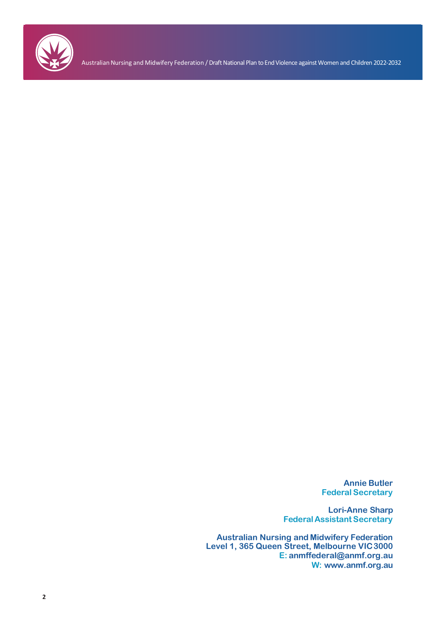

Australian Nursing and Midwifery Federation / Draft National Plan to End Violence against Women and Children 2022-2032

**Annie Butler Federal Secretary**

**Lori-Anne Sharp FederalAssistant Secretary**

**Australian Nursing and Midwifery Federation Level 1, 365 Queen Street, Melbourne VIC3000 E: [anmffederal@anmf.org.au](mailto:anmffederal@anmf.org.au) W: [www.anmf.org.au](http://www.anmf.org.au/)**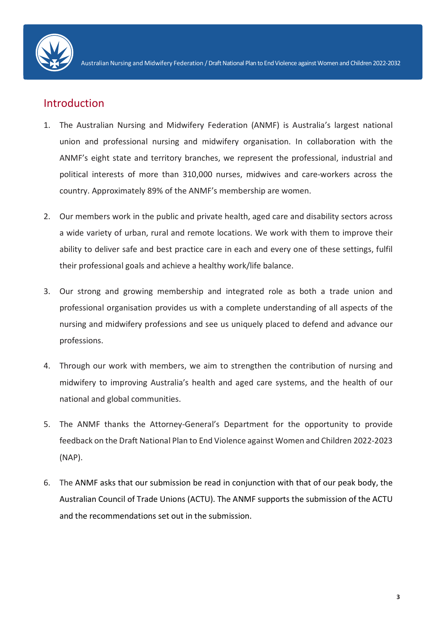

## **Introduction**

- 1. The Australian Nursing and Midwifery Federation (ANMF) is Australia's largest national union and professional nursing and midwifery organisation. In collaboration with the ANMF's eight state and territory branches, we represent the professional, industrial and political interests of more than 310,000 nurses, midwives and care-workers across the country. Approximately 89% of the ANMF's membership are women.
- 2. Our members work in the public and private health, aged care and disability sectors across a wide variety of urban, rural and remote locations. We work with them to improve their ability to deliver safe and best practice care in each and every one of these settings, fulfil their professional goals and achieve a healthy work/life balance.
- 3. Our strong and growing membership and integrated role as both a trade union and professional organisation provides us with a complete understanding of all aspects of the nursing and midwifery professions and see us uniquely placed to defend and advance our professions.
- 4. Through our work with members, we aim to strengthen the contribution of nursing and midwifery to improving Australia's health and aged care systems, and the health of our national and global communities.
- 5. The ANMF thanks the Attorney-General's Department for the opportunity to provide feedback on the Draft National Plan to End Violence against Women and Children 2022-2023 (NAP).
- 6. The ANMF asks that our submission be read in conjunction with that of our peak body, the Australian Council of Trade Unions (ACTU). The ANMF supports the submission of the ACTU and the recommendations set out in the submission.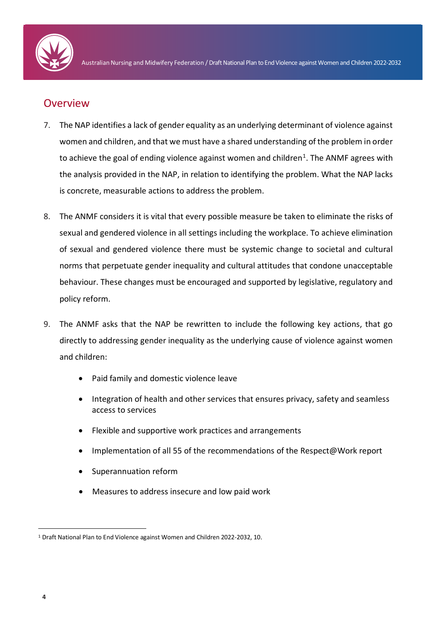

#### **Overview**

- 7. The NAP identifies a lack of gender equality as an underlying determinant of violence against women and children, and that we must have a shared understanding of the problem in order to achieve the goal of ending violence against women and children<sup>[1](#page-3-0)</sup>. The ANMF agrees with the analysis provided in the NAP, in relation to identifying the problem. What the NAP lacks is concrete, measurable actions to address the problem.
- 8. The ANMF considers it is vital that every possible measure be taken to eliminate the risks of sexual and gendered violence in all settings including the workplace. To achieve elimination of sexual and gendered violence there must be systemic change to societal and cultural norms that perpetuate gender inequality and cultural attitudes that condone unacceptable behaviour. These changes must be encouraged and supported by legislative, regulatory and policy reform.
- 9. The ANMF asks that the NAP be rewritten to include the following key actions, that go directly to addressing gender inequality as the underlying cause of violence against women and children:
	- Paid family and domestic violence leave
	- Integration of health and other services that ensures privacy, safety and seamless access to services
	- Flexible and supportive work practices and arrangements
	- Implementation of all 55 of the recommendations of the Respect@Work report
	- Superannuation reform
	- Measures to address insecure and low paid work

<span id="page-3-0"></span> <sup>1</sup> Draft National Plan to End Violence against Women and Children 2022-2032, 10.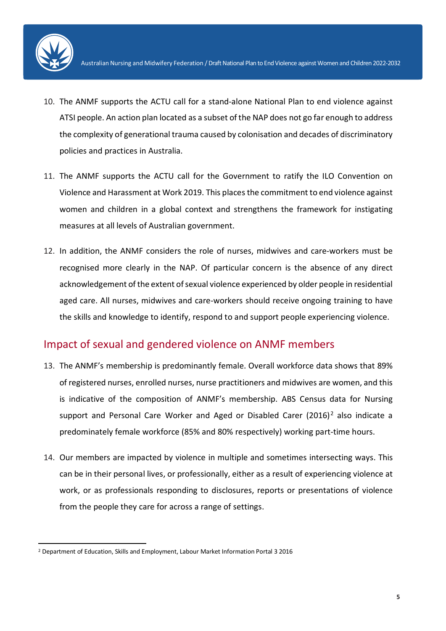

- 10. The ANMF supports the ACTU call for a stand-alone National Plan to end violence against ATSI people. An action plan located as a subset of the NAP does not go far enough to address the complexity of generational trauma caused by colonisation and decades of discriminatory policies and practices in Australia.
- 11. The ANMF supports the ACTU call for the Government to ratify the ILO Convention on Violence and Harassment at Work 2019. This places the commitment to end violence against women and children in a global context and strengthens the framework for instigating measures at all levels of Australian government.
- 12. In addition, the ANMF considers the role of nurses, midwives and care-workers must be recognised more clearly in the NAP. Of particular concern is the absence of any direct acknowledgement of the extent of sexual violence experienced by older people in residential aged care. All nurses, midwives and care-workers should receive ongoing training to have the skills and knowledge to identify, respond to and support people experiencing violence.

#### Impact of sexual and gendered violence on ANMF members

- 13. The ANMF's membership is predominantly female. Overall workforce data shows that 89% of registered nurses, enrolled nurses, nurse practitioners and midwives are women, and this is indicative of the composition of ANMF's membership. ABS Census data for Nursing support and Personal Care Worker and Aged or Disabled Carer  $(2016)^2$  $(2016)^2$  $(2016)^2$  also indicate a predominately female workforce (85% and 80% respectively) working part-time hours.
- 14. Our members are impacted by violence in multiple and sometimes intersecting ways. This can be in their personal lives, or professionally, either as a result of experiencing violence at work, or as professionals responding to disclosures, reports or presentations of violence from the people they care for across a range of settings.

<span id="page-4-0"></span> <sup>2</sup> Department of Education, Skills and Employment, Labour Market Information Portal 3 2016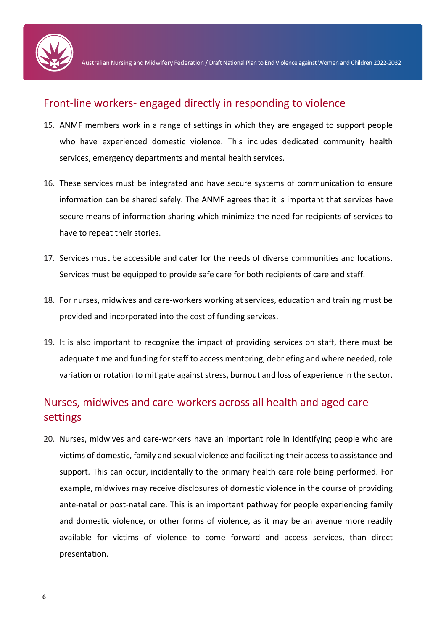

#### Front-line workers- engaged directly in responding to violence

- 15. ANMF members work in a range of settings in which they are engaged to support people who have experienced domestic violence. This includes dedicated community health services, emergency departments and mental health services.
- 16. These services must be integrated and have secure systems of communication to ensure information can be shared safely. The ANMF agrees that it is important that services have secure means of information sharing which minimize the need for recipients of services to have to repeat their stories.
- 17. Services must be accessible and cater for the needs of diverse communities and locations. Services must be equipped to provide safe care for both recipients of care and staff.
- 18. For nurses, midwives and care-workers working at services, education and training must be provided and incorporated into the cost of funding services.
- 19. It is also important to recognize the impact of providing services on staff, there must be adequate time and funding for staff to access mentoring, debriefing and where needed, role variation or rotation to mitigate against stress, burnout and loss of experience in the sector.

# Nurses, midwives and care-workers across all health and aged care settings

20. Nurses, midwives and care-workers have an important role in identifying people who are victims of domestic, family and sexual violence and facilitating their access to assistance and support. This can occur, incidentally to the primary health care role being performed. For example, midwives may receive disclosures of domestic violence in the course of providing ante-natal or post-natal care. This is an important pathway for people experiencing family and domestic violence, or other forms of violence, as it may be an avenue more readily available for victims of violence to come forward and access services, than direct presentation.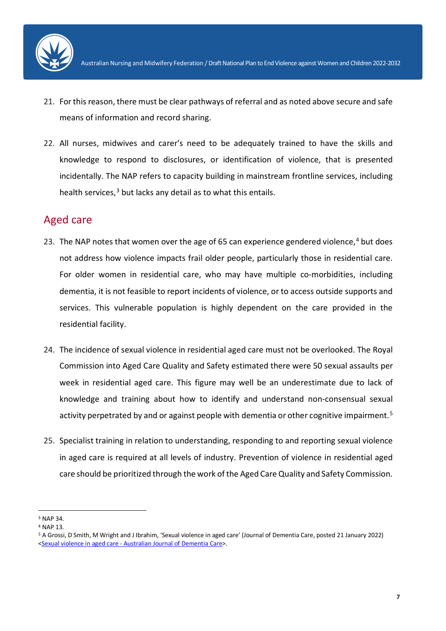

- 21. For this reason, there must be clear pathways of referral and as noted above secure and safe means of information and record sharing.
- 22. All nurses, midwives and carer's need to be adequately trained to have the skills and knowledge to respond to disclosures, or identification of violence, that is presented incidentally. The NAP refers to capacity building in mainstream frontline services, including health services, $3$  but lacks any detail as to what this entails.

## Aged care

- 23. The NAP notes that women over the age of 65 can experience gendered violence, $4$  but does not address how violence impacts frail older people, particularly those in residential care. For older women in residential care, who may have multiple co-morbidities, including dementia, it is not feasible to report incidents of violence, or to access outside supports and services. This vulnerable population is highly dependent on the care provided in the residential facility.
- 24. The incidence of sexual violence in residential aged care must not be overlooked. The Royal Commission into Aged Care Quality and Safety estimated there were 50 sexual assaults per week in residential aged care. This figure may well be an underestimate due to lack of knowledge and training about how to identify and understand non-consensual sexual activity perpetrated by and or against people with dementia or other cognitive impairment.<sup>[5](#page-6-2)</sup>
- 25. Specialist training in relation to understanding, responding to and reporting sexual violence in aged care is required at all levels of industry. Prevention of violence in residential aged care should be prioritized through the work of the Aged Care Quality and Safety Commission.

<span id="page-6-0"></span> <sup>3</sup> NAP 34.

<span id="page-6-1"></span><sup>4</sup> NAP 13.

<span id="page-6-2"></span><sup>5</sup> A Grossi, D Smith, M Wright and J Ibrahim, 'Sexual violence in aged care' (Journal of Dementia Care, posted 21 January 2022) [<Sexual violence in aged care -](https://journalofdementiacare.com/sexual-violence-in-aged-care/) Australian Journal of Dementia Care>.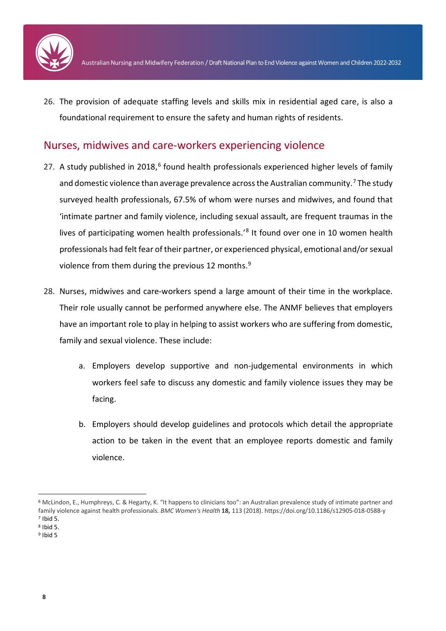

26. The provision of adequate staffing levels and skills mix in residential aged care, is also a foundational requirement to ensure the safety and human rights of residents.

#### Nurses, midwives and care-workers experiencing violence

- 27. A study published in 2018,<sup>[6](#page-7-0)</sup> found health professionals experienced higher levels of family and domestic violence than average prevalence across the Australian community.<sup>[7](#page-7-1)</sup> The study surveyed health professionals, 67.5% of whom were nurses and midwives, and found that 'intimate partner and family violence, including sexual assault, are frequent traumas in the lives of participating women health professionals.<sup>'[8](#page-7-2)</sup> It found over one in 10 women health professionals had felt fear of their partner, or experienced physical, emotional and/or sexual violence from them during the previous 12 months.<sup>[9](#page-7-3)</sup>
- 28. Nurses, midwives and care-workers spend a large amount of their time in the workplace. Their role usually cannot be performed anywhere else. The ANMF believes that employers have an important role to play in helping to assist workers who are suffering from domestic, family and sexual violence. These include:
	- a. Employers develop supportive and non-judgemental environments in which workers feel safe to discuss any domestic and family violence issues they may be facing.
	- b. Employers should develop guidelines and protocols which detail the appropriate action to be taken in the event that an employee reports domestic and family violence.

<span id="page-7-0"></span> <sup>6</sup> McLindon, E., Humphreys, C. & Hegarty, K. "It happens to clinicians too": an Australian prevalence study of intimate partner and family violence against health professionals. *BMC Women's Health* **18,** 113 (2018). https://doi.org/10.1186/s12905-018-0588-y <sup>7</sup> Ibid 5.

<span id="page-7-2"></span><span id="page-7-1"></span><sup>8</sup> Ibid 5.

<span id="page-7-3"></span> $9$  Ibid 5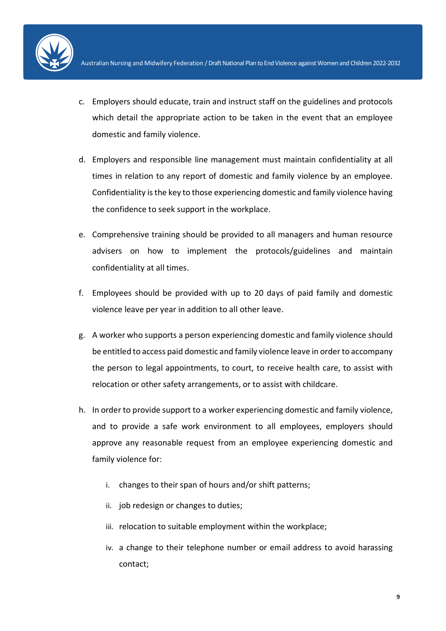

- c. Employers should educate, train and instruct staff on the guidelines and protocols which detail the appropriate action to be taken in the event that an employee domestic and family violence.
- d. Employers and responsible line management must maintain confidentiality at all times in relation to any report of domestic and family violence by an employee. Confidentiality is the key to those experiencing domestic and family violence having the confidence to seek support in the workplace.
- e. Comprehensive training should be provided to all managers and human resource advisers on how to implement the protocols/guidelines and maintain confidentiality at all times.
- f. Employees should be provided with up to 20 days of paid family and domestic violence leave per year in addition to all other leave.
- g. A worker who supports a person experiencing domestic and family violence should be entitled to access paid domestic and family violence leave in order to accompany the person to legal appointments, to court, to receive health care, to assist with relocation or other safety arrangements, or to assist with childcare.
- h. In order to provide support to a worker experiencing domestic and family violence, and to provide a safe work environment to all employees, employers should approve any reasonable request from an employee experiencing domestic and family violence for:
	- i. changes to their span of hours and/or shift patterns;
	- ii. job redesign or changes to duties;
	- iii. relocation to suitable employment within the workplace;
	- iv. a change to their telephone number or email address to avoid harassing contact;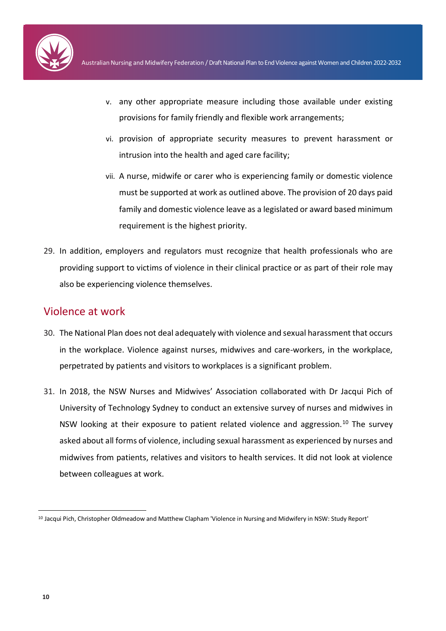

- v. any other appropriate measure including those available under existing provisions for family friendly and flexible work arrangements;
- vi. provision of appropriate security measures to prevent harassment or intrusion into the health and aged care facility;
- vii. A nurse, midwife or carer who is experiencing family or domestic violence must be supported at work as outlined above. The provision of 20 days paid family and domestic violence leave as a legislated or award based minimum requirement is the highest priority.
- 29. In addition, employers and regulators must recognize that health professionals who are providing support to victims of violence in their clinical practice or as part of their role may also be experiencing violence themselves.

## Violence at work

- 30. The National Plan does not deal adequately with violence and sexual harassment that occurs in the workplace. Violence against nurses, midwives and care-workers, in the workplace, perpetrated by patients and visitors to workplaces is a significant problem.
- 31. In 2018, the NSW Nurses and Midwives' Association collaborated with Dr Jacqui Pich of University of Technology Sydney to conduct an extensive survey of nurses and midwives in NSW looking at their exposure to patient related violence and aggression.<sup>[10](#page-9-0)</sup> The survey asked about all forms of violence, including sexual harassment as experienced by nurses and midwives from patients, relatives and visitors to health services. It did not look at violence between colleagues at work.

<span id="page-9-0"></span> <sup>10</sup> Jacqui Pich, Christopher Oldmeadow and Matthew Clapham 'Violence in Nursing and Midwifery in NSW: Study Report'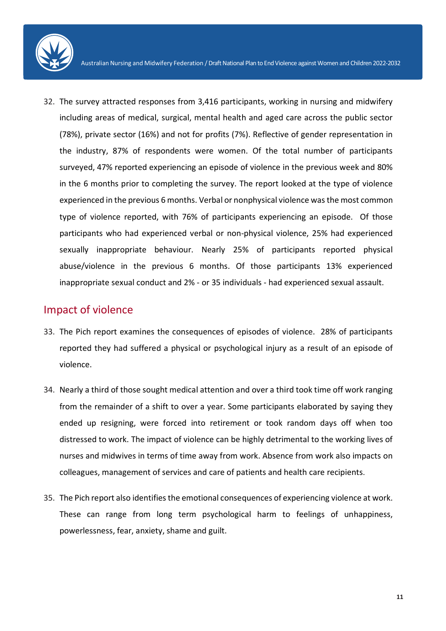

32. The survey attracted responses from 3,416 participants, working in nursing and midwifery including areas of medical, surgical, mental health and aged care across the public sector (78%), private sector (16%) and not for profits (7%). Reflective of gender representation in the industry, 87% of respondents were women. Of the total number of participants surveyed, 47% reported experiencing an episode of violence in the previous week and 80% in the 6 months prior to completing the survey. The report looked at the type of violence experienced in the previous 6 months. Verbal or nonphysical violence was the most common type of violence reported, with 76% of participants experiencing an episode. Of those participants who had experienced verbal or non-physical violence, 25% had experienced sexually inappropriate behaviour. Nearly 25% of participants reported physical abuse/violence in the previous 6 months. Of those participants 13% experienced inappropriate sexual conduct and 2% - or 35 individuals - had experienced sexual assault.

#### Impact of violence

- 33. The Pich report examines the consequences of episodes of violence. 28% of participants reported they had suffered a physical or psychological injury as a result of an episode of violence.
- 34. Nearly a third of those sought medical attention and over a third took time off work ranging from the remainder of a shift to over a year. Some participants elaborated by saying they ended up resigning, were forced into retirement or took random days off when too distressed to work. The impact of violence can be highly detrimental to the working lives of nurses and midwives in terms of time away from work. Absence from work also impacts on colleagues, management of services and care of patients and health care recipients.
- 35. The Pich report also identifies the emotional consequences of experiencing violence at work. These can range from long term psychological harm to feelings of unhappiness, powerlessness, fear, anxiety, shame and guilt.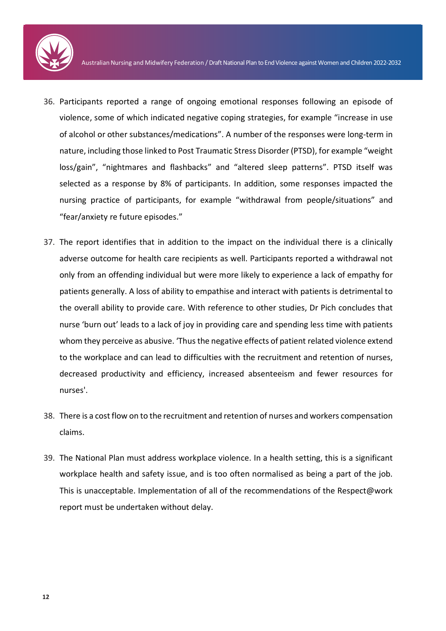- 36. Participants reported a range of ongoing emotional responses following an episode of violence, some of which indicated negative coping strategies, for example "increase in use of alcohol or other substances/medications". A number of the responses were long-term in nature, including those linked to Post Traumatic Stress Disorder (PTSD), for example "weight loss/gain", "nightmares and flashbacks" and "altered sleep patterns". PTSD itself was selected as a response by 8% of participants. In addition, some responses impacted the nursing practice of participants, for example "withdrawal from people/situations" and "fear/anxiety re future episodes."
- 37. The report identifies that in addition to the impact on the individual there is a clinically adverse outcome for health care recipients as well. Participants reported a withdrawal not only from an offending individual but were more likely to experience a lack of empathy for patients generally. A loss of ability to empathise and interact with patients is detrimental to the overall ability to provide care. With reference to other studies, Dr Pich concludes that nurse 'burn out' leads to a lack of joy in providing care and spending less time with patients whom they perceive as abusive. 'Thus the negative effects of patient related violence extend to the workplace and can lead to difficulties with the recruitment and retention of nurses, decreased productivity and efficiency, increased absenteeism and fewer resources for nurses'.
- 38. There is a cost flow on to the recruitment and retention of nurses and workers compensation claims.
- 39. The National Plan must address workplace violence. In a health setting, this is a significant workplace health and safety issue, and is too often normalised as being a part of the job. This is unacceptable. Implementation of all of the recommendations of the Respect@work report must be undertaken without delay.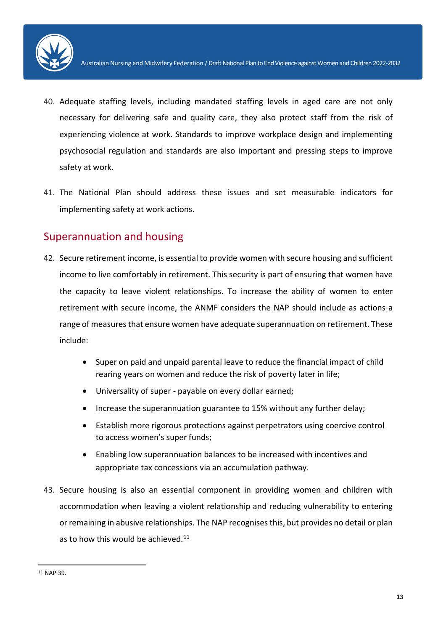

- 40. Adequate staffing levels, including mandated staffing levels in aged care are not only necessary for delivering safe and quality care, they also protect staff from the risk of experiencing violence at work. Standards to improve workplace design and implementing psychosocial regulation and standards are also important and pressing steps to improve safety at work.
- 41. The National Plan should address these issues and set measurable indicators for implementing safety at work actions.

## Superannuation and housing

- 42. Secure retirement income, is essential to provide women with secure housing and sufficient income to live comfortably in retirement. This security is part of ensuring that women have the capacity to leave violent relationships. To increase the ability of women to enter retirement with secure income, the ANMF considers the NAP should include as actions a range of measures that ensure women have adequate superannuation on retirement. These include:
	- Super on paid and unpaid parental leave to reduce the financial impact of child rearing years on women and reduce the risk of poverty later in life;
	- Universality of super payable on every dollar earned;
	- Increase the superannuation guarantee to 15% without any further delay;
	- Establish more rigorous protections against perpetrators using coercive control to access women's super funds;
	- Enabling low superannuation balances to be increased with incentives and appropriate tax concessions via an accumulation pathway.
- 43. Secure housing is also an essential component in providing women and children with accommodation when leaving a violent relationship and reducing vulnerability to entering or remaining in abusive relationships. The NAP recognises this, but provides no detail or plan as to how this would be achieved. $11$

<span id="page-12-0"></span> <sup>11</sup> NAP 39.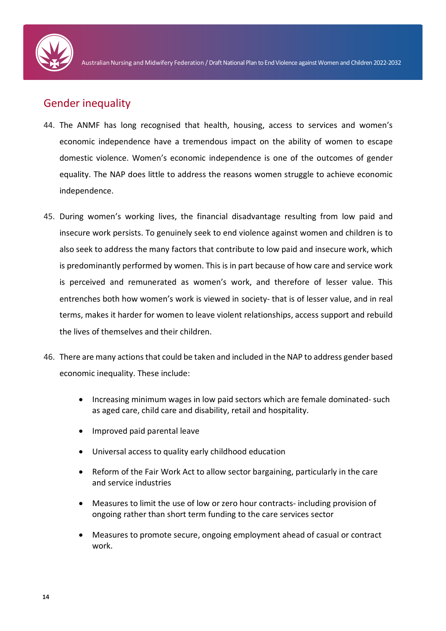

## Gender inequality

- 44. The ANMF has long recognised that health, housing, access to services and women's economic independence have a tremendous impact on the ability of women to escape domestic violence. Women's economic independence is one of the outcomes of gender equality. The NAP does little to address the reasons women struggle to achieve economic independence.
- 45. During women's working lives, the financial disadvantage resulting from low paid and insecure work persists. To genuinely seek to end violence against women and children is to also seek to address the many factors that contribute to low paid and insecure work, which is predominantly performed by women. This is in part because of how care and service work is perceived and remunerated as women's work, and therefore of lesser value. This entrenches both how women's work is viewed in society- that is of lesser value, and in real terms, makes it harder for women to leave violent relationships, access support and rebuild the lives of themselves and their children.
- 46. There are many actions that could be taken and included in the NAP to address gender based economic inequality. These include:
	- Increasing minimum wages in low paid sectors which are female dominated- such as aged care, child care and disability, retail and hospitality.
	- Improved paid parental leave
	- Universal access to quality early childhood education
	- Reform of the Fair Work Act to allow sector bargaining, particularly in the care and service industries
	- Measures to limit the use of low or zero hour contracts- including provision of ongoing rather than short term funding to the care services sector
	- Measures to promote secure, ongoing employment ahead of casual or contract work.